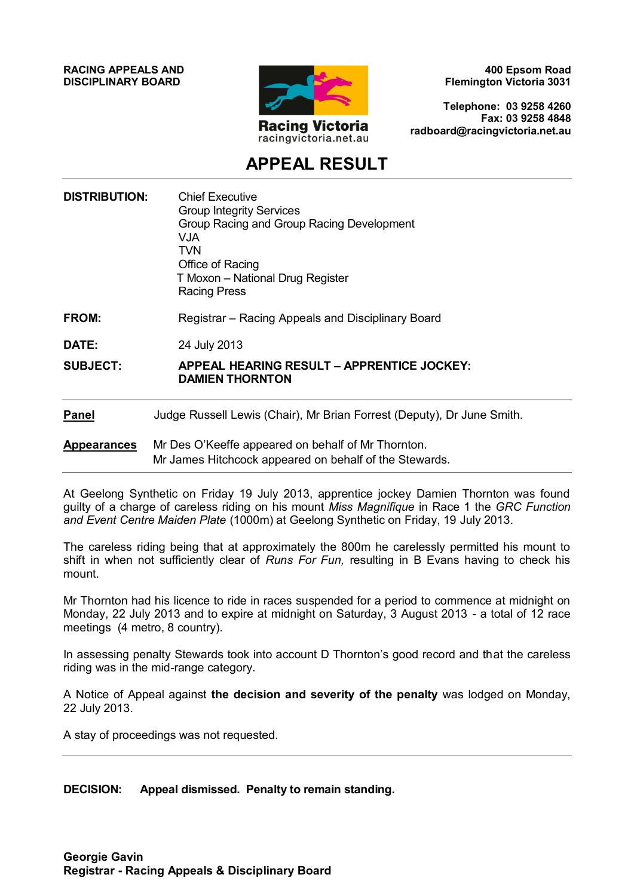**RACING APPEALS AND DISCIPLINARY BOARD**



**400 Epsom Road Flemington Victoria 3031**

**Telephone: 03 9258 4260 Fax: 03 9258 4848 radboard@racingvictoria.net.au**

## **APPEAL RESULT**

| <b>DISTRIBUTION:</b> | <b>Chief Executive</b><br><b>Group Integrity Services</b><br>Group Racing and Group Racing Development<br><b>VJA</b><br><b>TVN</b><br>Office of Racing<br>T Moxon - National Drug Register<br><b>Racing Press</b> |
|----------------------|-------------------------------------------------------------------------------------------------------------------------------------------------------------------------------------------------------------------|
| <b>FROM:</b>         | Registrar – Racing Appeals and Disciplinary Board                                                                                                                                                                 |
| DATE:                | 24 July 2013                                                                                                                                                                                                      |
| <b>SUBJECT:</b>      | <b>APPEAL HEARING RESULT - APPRENTICE JOCKEY:</b><br><b>DAMIEN THORNTON</b>                                                                                                                                       |
| <b>Panel</b>         | Judge Russell Lewis (Chair), Mr Brian Forrest (Deputy), Dr June Smith.                                                                                                                                            |
| <b>Appearances</b>   | Mr Des O'Keeffe appeared on behalf of Mr Thornton.<br>Mr James Hitchcock appeared on behalf of the Stewards.                                                                                                      |

At Geelong Synthetic on Friday 19 July 2013, apprentice jockey Damien Thornton was found guilty of a charge of careless riding on his mount *Miss Magnifique* in Race 1 the *GRC Function and Event Centre Maiden Plate* (1000m) at Geelong Synthetic on Friday, 19 July 2013.

The careless riding being that at approximately the 800m he carelessly permitted his mount to shift in when not sufficiently clear of *Runs For Fun,* resulting in B Evans having to check his mount.

Mr Thornton had his licence to ride in races suspended for a period to commence at midnight on Monday, 22 July 2013 and to expire at midnight on Saturday, 3 August 2013 - a total of 12 race meetings (4 metro, 8 country).

In assessing penalty Stewards took into account D Thornton's good record and that the careless riding was in the mid-range category.

A Notice of Appeal against **the decision and severity of the penalty** was lodged on Monday, 22 July 2013.

A stay of proceedings was not requested.

#### **DECISION: Appeal dismissed. Penalty to remain standing.**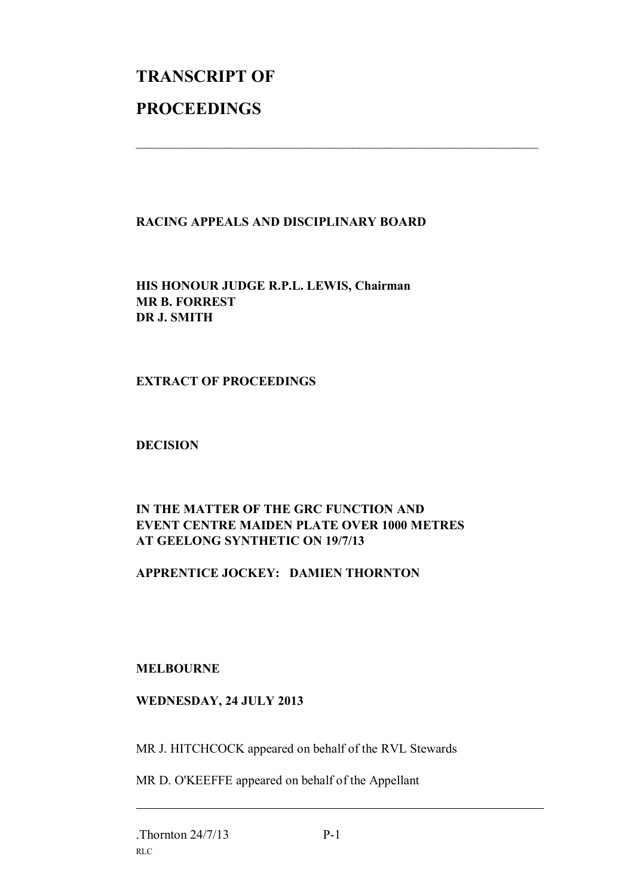# **TRANSCRIPT OF PROCEEDINGS**

#### **RACING APPEALS AND DISCIPLINARY BOARD**

 $\mathcal{L}_\text{max}$  , and the contribution of the contribution of the contribution of the contribution of the contribution of the contribution of the contribution of the contribution of the contribution of the contribution of t

**HIS HONOUR JUDGE R.P.L. LEWIS, Chairman MR B. FORREST DR J. SMITH**

#### **EXTRACT OF PROCEEDINGS**

#### **DECISION**

### **IN THE MATTER OF THE GRC FUNCTION AND EVENT CENTRE MAIDEN PLATE OVER 1000 METRES AT GEELONG SYNTHETIC ON 19/7/13**

#### **APPRENTICE JOCKEY: DAMIEN THORNTON**

#### **MELBOURNE**

#### **WEDNESDAY, 24 JULY 2013**

MR J. HITCHCOCK appeared on behalf of the RVL Stewards

MR D. O'KEEFFE appeared on behalf of the Appellant